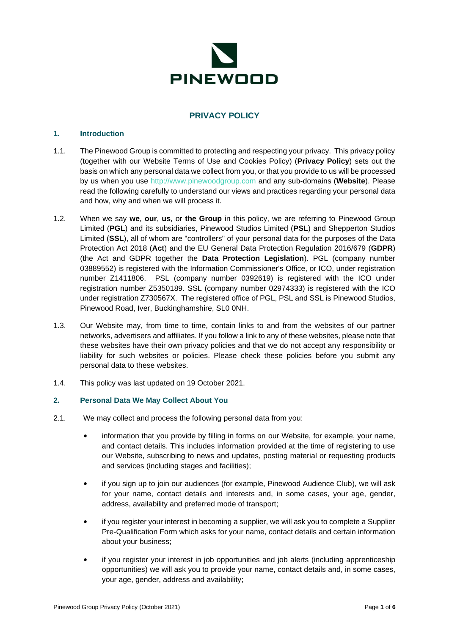

# **PRIVACY POLICY**

#### **1. Introduction**

- 1.1. The Pinewood Group is committed to protecting and respecting your privacy. This privacy policy (together with our Website Terms of Use and Cookies Policy) (**Privacy Policy**) sets out the basis on which any personal data we collect from you, or that you provide to us will be processed by us when you use [http://www.pinewoodgroup.com](http://www.pinewoodgroup.com/) and any sub-domains (**Website**). Please read the following carefully to understand our views and practices regarding your personal data and how, why and when we will process it.
- 1.2. When we say **we**, **our**, **us**, or **the Group** in this policy, we are referring to Pinewood Group Limited (**PGL**) and its subsidiaries, Pinewood Studios Limited (**PSL**) and Shepperton Studios Limited (**SSL**), all of whom are "controllers" of your personal data for the purposes of the Data Protection Act 2018 (**Act**) and the EU General Data Protection Regulation 2016/679 (**GDPR**) (the Act and GDPR together the **Data Protection Legislation**). PGL (company number 03889552) is registered with the Information Commissioner's Office, or ICO, under registration number Z1411806. PSL (company number 0392619) is registered with the ICO under registration number Z5350189. SSL (company number 02974333) is registered with the ICO under registration Z730567X. The registered office of PGL, PSL and SSL is Pinewood Studios, Pinewood Road, Iver, Buckinghamshire, SL0 0NH.
- 1.3. Our Website may, from time to time, contain links to and from the websites of our partner networks, advertisers and affiliates. If you follow a link to any of these websites, please note that these websites have their own privacy policies and that we do not accept any responsibility or liability for such websites or policies. Please check these policies before you submit any personal data to these websites.
- 1.4. This policy was last updated on 19 October 2021.

### **2. Personal Data We May Collect About You**

- 2.1. We may collect and process the following personal data from you:
	- information that you provide by filling in forms on our Website, for example, your name, and contact details. This includes information provided at the time of registering to use our Website, subscribing to news and updates, posting material or requesting products and services (including stages and facilities);
	- if you sign up to join our audiences (for example, Pinewood Audience Club), we will ask for your name, contact details and interests and, in some cases, your age, gender, address, availability and preferred mode of transport;
	- if you register your interest in becoming a supplier, we will ask you to complete a Supplier Pre-Qualification Form which asks for your name, contact details and certain information about your business;
	- if you register your interest in job opportunities and job alerts (including apprenticeship opportunities) we will ask you to provide your name, contact details and, in some cases, your age, gender, address and availability;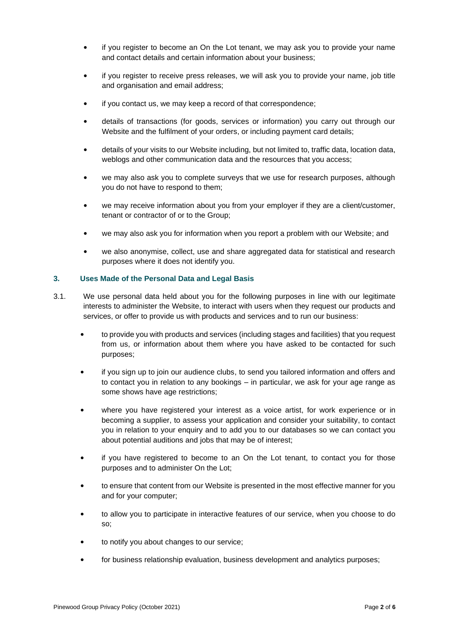- if you register to become an On the Lot tenant, we may ask you to provide your name and contact details and certain information about your business;
- if you register to receive press releases, we will ask you to provide your name, job title and organisation and email address;
- if you contact us, we may keep a record of that correspondence;
- details of transactions (for goods, services or information) you carry out through our Website and the fulfilment of your orders, or including payment card details;
- details of your visits to our Website including, but not limited to, traffic data, location data, weblogs and other communication data and the resources that you access;
- we may also ask you to complete surveys that we use for research purposes, although you do not have to respond to them;
- we may receive information about you from your employer if they are a client/customer, tenant or contractor of or to the Group;
- we may also ask you for information when you report a problem with our Website; and
- we also anonymise, collect, use and share aggregated data for statistical and research purposes where it does not identify you.

### **3. Uses Made of the Personal Data and Legal Basis**

- 3.1. We use personal data held about you for the following purposes in line with our legitimate interests to administer the Website, to interact with users when they request our products and services, or offer to provide us with products and services and to run our business:
	- to provide you with products and services (including stages and facilities) that you request from us, or information about them where you have asked to be contacted for such purposes;
	- if you sign up to join our audience clubs, to send you tailored information and offers and to contact you in relation to any bookings – in particular, we ask for your age range as some shows have age restrictions;
	- where you have registered your interest as a voice artist, for work experience or in becoming a supplier, to assess your application and consider your suitability, to contact you in relation to your enquiry and to add you to our databases so we can contact you about potential auditions and jobs that may be of interest;
	- if you have registered to become to an On the Lot tenant, to contact you for those purposes and to administer On the Lot;
	- to ensure that content from our Website is presented in the most effective manner for you and for your computer;
	- to allow you to participate in interactive features of our service, when you choose to do so;
	- to notify you about changes to our service;
	- for business relationship evaluation, business development and analytics purposes;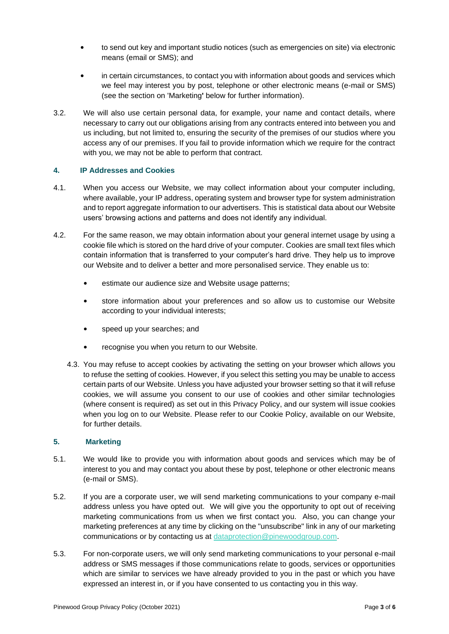- to send out key and important studio notices (such as emergencies on site) via electronic means (email or SMS); and
- in certain circumstances, to contact you with information about goods and services which we feel may interest you by post, telephone or other electronic means (e-mail or SMS) (see the section on 'Marketing**'** below for further information).
- 3.2. We will also use certain personal data, for example, your name and contact details, where necessary to carry out our obligations arising from any contracts entered into between you and us including, but not limited to, ensuring the security of the premises of our studios where you access any of our premises. If you fail to provide information which we require for the contract with you, we may not be able to perform that contract.

### **4. IP Addresses and Cookies**

- 4.1. When you access our Website, we may collect information about your computer including, where available, your IP address, operating system and browser type for system administration and to report aggregate information to our advertisers. This is statistical data about our Website users' browsing actions and patterns and does not identify any individual.
- 4.2. For the same reason, we may obtain information about your general internet usage by using a cookie file which is stored on the hard drive of your computer. Cookies are small text files which contain information that is transferred to your computer's hard drive. They help us to improve our Website and to deliver a better and more personalised service. They enable us to:
	- estimate our audience size and Website usage patterns;
	- store information about your preferences and so allow us to customise our Website according to your individual interests;
	- speed up your searches; and
	- recognise you when you return to our Website.
	- 4.3. You may refuse to accept cookies by activating the setting on your browser which allows you to refuse the setting of cookies. However, if you select this setting you may be unable to access certain parts of our Website. Unless you have adjusted your browser setting so that it will refuse cookies, we will assume you consent to our use of cookies and other similar technologies (where consent is required) as set out in this Privacy Policy, and our system will issue cookies when you log on to our Website. Please refer to our Cookie Policy, available on our Website, for further details.

#### **5. Marketing**

- 5.1. We would like to provide you with information about goods and services which may be of interest to you and may contact you about these by post, telephone or other electronic means (e-mail or SMS).
- 5.2. If you are a corporate user, we will send marketing communications to your company e-mail address unless you have opted out. We will give you the opportunity to opt out of receiving marketing communications from us when we first contact you. Also, you can change your marketing preferences at any time by clicking on the "unsubscribe" link in any of our marketing communications or by contacting us at [dataprotection@pinewoodgroup.com.](mailto:dataprotection@pinewoodgroup.com)
- 5.3. For non-corporate users, we will only send marketing communications to your personal e-mail address or SMS messages if those communications relate to goods, services or opportunities which are similar to services we have already provided to you in the past or which you have expressed an interest in, or if you have consented to us contacting you in this way.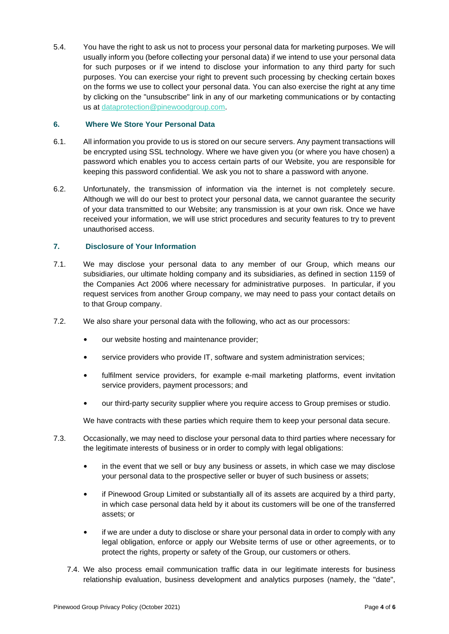5.4. You have the right to ask us not to process your personal data for marketing purposes. We will usually inform you (before collecting your personal data) if we intend to use your personal data for such purposes or if we intend to disclose your information to any third party for such purposes. You can exercise your right to prevent such processing by checking certain boxes on the forms we use to collect your personal data. You can also exercise the right at any time by clicking on the "unsubscribe" link in any of our marketing communications or by contacting us at [dataprotection@pinewoodgroup.com.](mailto:dataprotection@pinewoodgroup.com)

### **6. Where We Store Your Personal Data**

- 6.1. All information you provide to us is stored on our secure servers. Any payment transactions will be encrypted using SSL technology. Where we have given you (or where you have chosen) a password which enables you to access certain parts of our Website, you are responsible for keeping this password confidential. We ask you not to share a password with anyone.
- 6.2. Unfortunately, the transmission of information via the internet is not completely secure. Although we will do our best to protect your personal data, we cannot guarantee the security of your data transmitted to our Website; any transmission is at your own risk. Once we have received your information, we will use strict procedures and security features to try to prevent unauthorised access.

#### **7. Disclosure of Your Information**

- 7.1. We may disclose your personal data to any member of our Group, which means our subsidiaries, our ultimate holding company and its subsidiaries, as defined in section 1159 of the Companies Act 2006 where necessary for administrative purposes. In particular, if you request services from another Group company, we may need to pass your contact details on to that Group company.
- 7.2. We also share your personal data with the following, who act as our processors:
	- our website hosting and maintenance provider;
	- service providers who provide IT, software and system administration services;
	- fulfilment service providers, for example e-mail marketing platforms, event invitation service providers, payment processors; and
	- our third-party security supplier where you require access to Group premises or studio.

We have contracts with these parties which require them to keep your personal data secure.

- 7.3. Occasionally, we may need to disclose your personal data to third parties where necessary for the legitimate interests of business or in order to comply with legal obligations:
	- in the event that we sell or buy any business or assets, in which case we may disclose your personal data to the prospective seller or buyer of such business or assets;
	- if Pinewood Group Limited or substantially all of its assets are acquired by a third party, in which case personal data held by it about its customers will be one of the transferred assets; or
	- if we are under a duty to disclose or share your personal data in order to comply with any legal obligation, enforce or apply our Website terms of use or other agreements, or to protect the rights, property or safety of the Group, our customers or others.
	- 7.4. We also process email communication traffic data in our legitimate interests for business relationship evaluation, business development and analytics purposes (namely, the "date",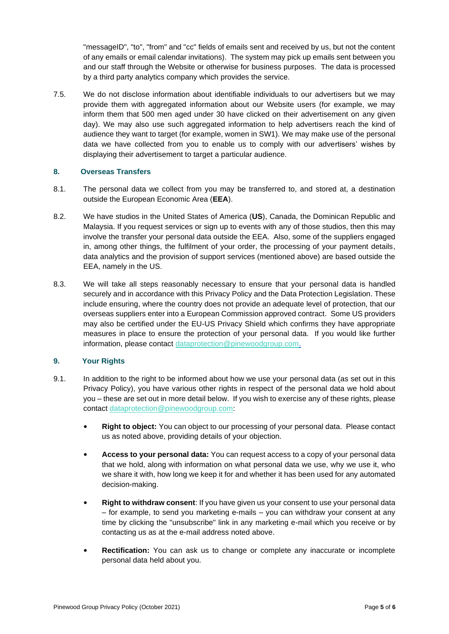"messageID", "to", "from" and "cc" fields of emails sent and received by us, but not the content of any emails or email calendar invitations). The system may pick up emails sent between you and our staff through the Website or otherwise for business purposes. The data is processed by a third party analytics company which provides the service.

7.5. We do not disclose information about identifiable individuals to our advertisers but we may provide them with aggregated information about our Website users (for example, we may inform them that 500 men aged under 30 have clicked on their advertisement on any given day). We may also use such aggregated information to help advertisers reach the kind of audience they want to target (for example, women in SW1). We may make use of the personal data we have collected from you to enable us to comply with our advertisers' wishes by displaying their advertisement to target a particular audience.

### **8. Overseas Transfers**

- 8.1. The personal data we collect from you may be transferred to, and stored at, a destination outside the European Economic Area (**EEA**).
- 8.2. We have studios in the United States of America (**US**), Canada, the Dominican Republic and Malaysia. If you request services or sign up to events with any of those studios, then this may involve the transfer your personal data outside the EEA. Also, some of the suppliers engaged in, among other things, the fulfilment of your order, the processing of your payment details, data analytics and the provision of support services (mentioned above) are based outside the EEA, namely in the US.
- 8.3. We will take all steps reasonably necessary to ensure that your personal data is handled securely and in accordance with this Privacy Policy and the Data Protection Legislation. These include ensuring, where the country does not provide an adequate level of protection, that our overseas suppliers enter into a European Commission approved contract. Some US providers may also be certified under the EU-US Privacy Shield which confirms they have appropriate measures in place to ensure the protection of your personal data. If you would like further information, please contact [dataprotection@pinewoodgroup.com.](mailto:dataprotection@pinewoodgroup.com)

### **9. Your Rights**

- 9.1. In addition to the right to be informed about how we use your personal data (as set out in this Privacy Policy), you have various other rights in respect of the personal data we hold about you – these are set out in more detail below. If you wish to exercise any of these rights, please contact [dataprotection@pinewoodgroup.com:](mailto:dataprotection@pinewoodgroup.com)
	- **Right to object:** You can object to our processing of your personal data. Please contact us as noted above, providing details of your objection.
	- **Access to your personal data:** You can request access to a copy of your personal data that we hold, along with information on what personal data we use, why we use it, who we share it with, how long we keep it for and whether it has been used for any automated decision-making.
	- **Right to withdraw consent**: If you have given us your consent to use your personal data – for example, to send you marketing e-mails – you can withdraw your consent at any time by clicking the "unsubscribe" link in any marketing e-mail which you receive or by contacting us as at the e-mail address noted above.
	- **Rectification:** You can ask us to change or complete any inaccurate or incomplete personal data held about you.